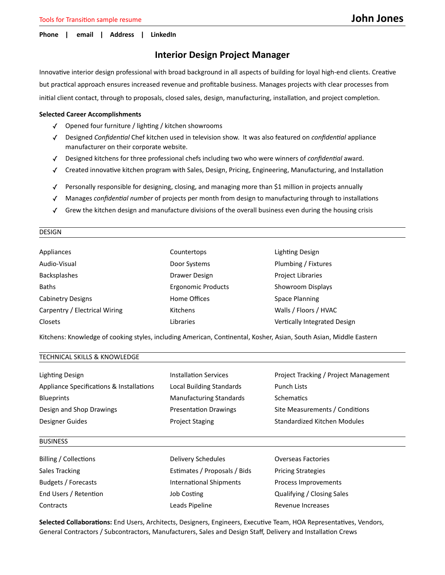### **Phone | email | Address | LinkedIn**

# **Interior Design Project Manager**

Innovative interior design professional with broad background in all aspects of building for loyal high-end clients. Creative but practical approach ensures increased revenue and profitable business. Manages projects with clear processes from initial client contact, through to proposals, closed sales, design, manufacturing, installation, and project completion.

## **Selected Career Accomplishments**

- ✓ Opened four furniture / lighting / kitchen showrooms
- ✓ Designed *Confidential* Chef kitchen used in television show. It was also featured on *confidential* appliance manufacturer on their corporate website.
- ✓ Designed kitchens for three professional chefs including two who were winners of *confidential* award.
- ✓ Created innovative kitchen program with Sales, Design, Pricing, Engineering, Manufacturing, and Installation
- ✓ Personally responsible for designing, closing, and managing more than \$1 million in projects annually
- ✓ Manages *confidential number* of projects per month from design to manufacturing through to installations
- ✓ Grew the kitchen design and manufacture divisions of the overall business even during the housing crisis

### DESIGN

| Appliances                    | Countertops               | Lighting Design              |
|-------------------------------|---------------------------|------------------------------|
| Audio-Visual                  | Door Systems              | Plumbing / Fixtures          |
| <b>Backsplashes</b>           | Drawer Design             | <b>Project Libraries</b>     |
| <b>Baths</b>                  | <b>Ergonomic Products</b> | Showroom Displays            |
| <b>Cabinetry Designs</b>      | Home Offices              | <b>Space Planning</b>        |
| Carpentry / Electrical Wiring | Kitchens                  | Walls / Floors / HVAC        |
| Closets                       | Libraries                 | Vertically Integrated Design |

Kitchens: Knowledge of cooking styles, including American, Continental, Kosher, Asian, South Asian, Middle Eastern

# TECHNICAL SKILLS & KNOWLEDGE

| Lighting Design                          | <b>Installation Services</b>   | Project Tracking / Project Management |
|------------------------------------------|--------------------------------|---------------------------------------|
| Appliance Specifications & Installations | Local Building Standards       | Punch Lists                           |
| <b>Blueprints</b>                        | <b>Manufacturing Standards</b> | Schematics                            |
| Design and Shop Drawings                 | <b>Presentation Drawings</b>   | Site Measurements / Conditions        |
| Designer Guides                          | <b>Project Staging</b>         | Standardized Kitchen Modules          |

#### BUSINESS

Billing / Collections Delivery Schedules Overseas Factories Sales Tracking **Estimates / Proposals / Bids** Pricing Strategies Budgets / Forecasts **International Shipments** Process Improvements End Users / Retention Job Costing Qualifying / Closing Sales Contracts **Contracts** Contracts **Leads Pipeline** Revenue Increases

**Selected Collaborations:** End Users, Architects, Designers, Engineers, Executive Team, HOA Representatives, Vendors, General Contractors / Subcontractors, Manufacturers, Sales and Design Staff, Delivery and Installation Crews